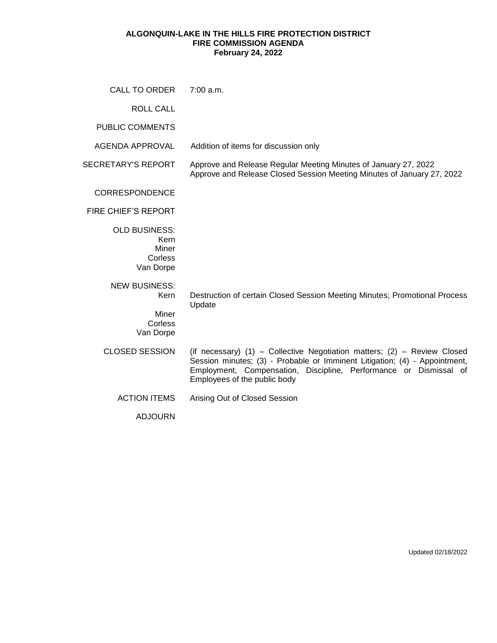## **ALGONQUIN-LAKE IN THE HILLS FIRE PROTECTION DISTRICT FIRE COMMISSION AGENDA February 24, 2022**

| CALL TO ORDER                                                 | 7:00 a.m.                                                                                                                                                                                                                                                   |
|---------------------------------------------------------------|-------------------------------------------------------------------------------------------------------------------------------------------------------------------------------------------------------------------------------------------------------------|
| <b>ROLL CALL</b>                                              |                                                                                                                                                                                                                                                             |
| <b>PUBLIC COMMENTS</b>                                        |                                                                                                                                                                                                                                                             |
| <b>AGENDA APPROVAL</b>                                        | Addition of items for discussion only                                                                                                                                                                                                                       |
| <b>SECRETARY'S REPORT</b>                                     | Approve and Release Regular Meeting Minutes of January 27, 2022<br>Approve and Release Closed Session Meeting Minutes of January 27, 2022                                                                                                                   |
| <b>CORRESPONDENCE</b>                                         |                                                                                                                                                                                                                                                             |
| <b>FIRE CHIEF'S REPORT</b>                                    |                                                                                                                                                                                                                                                             |
| <b>OLD BUSINESS:</b><br>Kern<br>Miner<br>Corless<br>Van Dorpe |                                                                                                                                                                                                                                                             |
| <b>NEW BUSINESS:</b><br>Kern                                  | Destruction of certain Closed Session Meeting Minutes; Promotional Process<br>Update                                                                                                                                                                        |
| Miner<br>Corless<br>Van Dorpe                                 |                                                                                                                                                                                                                                                             |
| <b>CLOSED SESSION</b>                                         | (if necessary) (1) - Collective Negotiation matters; (2) - Review Closed<br>Session minutes; (3) - Probable or Imminent Litigation; (4) - Appointment,<br>Employment, Compensation, Discipline, Performance or Dismissal of<br>Employees of the public body |
| <b>ACTION ITEMS</b>                                           | Arising Out of Closed Session                                                                                                                                                                                                                               |
| <b>ADJOURN</b>                                                |                                                                                                                                                                                                                                                             |

Updated 02/18/2022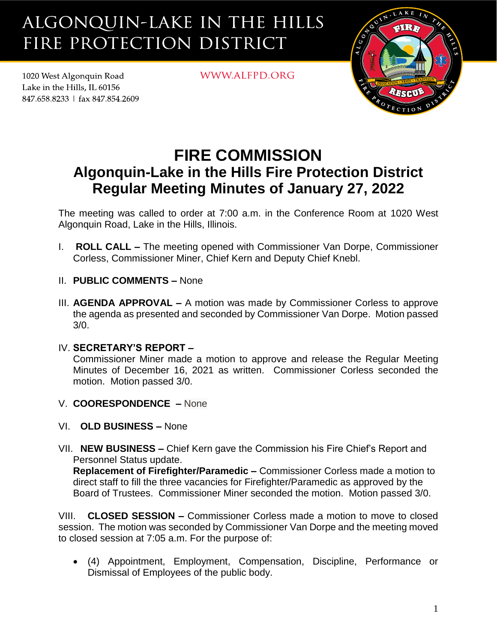## ALGONQUIN-LAKE IN THE HILLS FIRE PROTECTION DISTRICT

1020 West Algonquin Road Lake in the Hills. IL 60156 847.658.8233 | fax 847.854.2609 WWW.ALFPD.ORG



## **FIRE COMMISSION Algonquin-Lake in the Hills Fire Protection District Regular Meeting Minutes of January 27, 2022**

The meeting was called to order at 7:00 a.m. in the Conference Room at 1020 West Algonquin Road, Lake in the Hills, Illinois.

- I. **ROLL CALL –** The meeting opened with Commissioner Van Dorpe, Commissioner Corless, Commissioner Miner, Chief Kern and Deputy Chief Knebl.
- II. **PUBLIC COMMENTS –** None
- III. **AGENDA APPROVAL –** A motion was made by Commissioner Corless to approve the agenda as presented and seconded by Commissioner Van Dorpe. Motion passed 3/0.
- IV. **SECRETARY'S REPORT –**

Commissioner Miner made a motion to approve and release the Regular Meeting Minutes of December 16, 2021 as written. Commissioner Corless seconded the motion. Motion passed 3/0.

- V. **COORESPONDENCE –** None
- VI. **OLD BUSINESS –** None
- VII. **NEW BUSINESS –** Chief Kern gave the Commission his Fire Chief's Report and Personnel Status update.

**Replacement of Firefighter/Paramedic –** Commissioner Corless made a motion to direct staff to fill the three vacancies for Firefighter/Paramedic as approved by the Board of Trustees. Commissioner Miner seconded the motion. Motion passed 3/0.

VIII. **CLOSED SESSION –** Commissioner Corless made a motion to move to closed session. The motion was seconded by Commissioner Van Dorpe and the meeting moved to closed session at 7:05 a.m. For the purpose of:

• (4) Appointment, Employment, Compensation, Discipline, Performance or Dismissal of Employees of the public body.